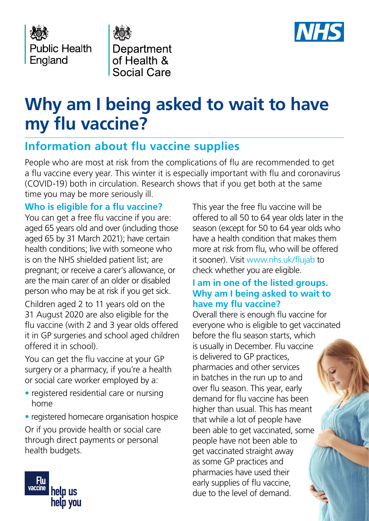





# **Why am I being asked to wait to have my flu vaccine?**

## **Information about flu vaccine supplies**

People who are most at risk from the complications of flu are recommended to get a flu vaccine every year. This winter it is especially important with flu and coronavirus (COVID-19) both in circulation. Research shows that if you get both at the same time you may be more seriously ill.

### **Who is eligible for a flu vaccine?**

You can get a free flu vaccine if you are: aged 65 years old and over (including those aged 65 by 31 March 2021); have certain health conditions; live with someone who is on the NHS shielded patient list; are pregnant; or receive a carer's allowance, or are the main carer of an older or disabled person who may be at risk if you get sick.

Children aged 2 to 11 years old on the 31 August 2020 are also eligible for the flu vaccine (with 2 and 3 year olds offered it in GP surgeries and school aged children offered it in school).

You can get the flu vaccine at your GP surgery or a pharmacy, if you're a health or social care worker employed by a:

- registered residential care or nursing home
- registered homecare organisation hospice

Or if you provide health or social care through direct payments or personal health budgets.

This year the free flu vaccine will be offered to all 50 to 64 year olds later in the season (except for 50 to 64 year olds who have a health condition that makes them more at risk from flu, who will be offered it sooner). Visit [www.nhs.uk/flujab](http://www.nhs.uk/flujab) to check whether you are eligible.

#### **I am in one of the listed groups. Why am I being asked to wait to have my flu vaccine?**

Overall there is enough flu vaccine for everyone who is eligible to get vaccinated before the flu season starts, which is usually in December. Flu vaccine is delivered to GP practices, pharmacies and other services in batches in the run up to and over flu season. This year, early demand for flu vaccine has been higher than usual. This has meant that while a lot of people have been able to get vaccinated, some people have not been able to get vaccinated straight away as some GP practices and pharmacies have used their early supplies of flu vaccine, due to the level of demand.